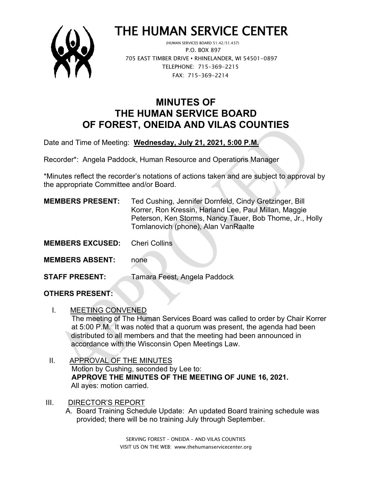

# THE HUMAN SERVICE CENTER

 P.O. BOX 897 705 EAST TIMBER DRIVE **•** RHINELANDER, WI 54501-0897 TELEPHONE: 715-369-2215 FAX: 715-369-2214

## **MINUTES OF THE HUMAN SERVICE BOARD OF FOREST, ONEIDA AND VILAS COUNTIES**

Date and Time of Meeting: **Wednesday, July 21, 2021, 5:00 P.M.**

Recorder\*: Angela Paddock, Human Resource and Operations Manager

\*Minutes reflect the recorder's notations of actions taken and are subject to approval by the appropriate Committee and/or Board.

| <b>MEMBERS PRESENT:</b> | Ted Cushing, Jennifer Dornfeld, Cindy Gretzinger, Bill<br>Korrer, Ron Kressin, Harland Lee, Paul Millan, Maggie |
|-------------------------|-----------------------------------------------------------------------------------------------------------------|
|                         | Peterson, Ken Storms, Nancy Tauer, Bob Thome, Jr., Holly<br>Tomlanovich (phone), Alan VanRaalte                 |
|                         |                                                                                                                 |

- **MEMBERS EXCUSED:** Cheri Collins
- **MEMBERS ABSENT:** none

**STAFF PRESENT:** Tamara Feest, Angela Paddock

### **OTHERS PRESENT:**

- I. MEETING CONVENED The meeting of The Human Services Board was called to order by Chair Korrer at 5:00 P.M. It was noted that a quorum was present, the agenda had been distributed to all members and that the meeting had been announced in accordance with the Wisconsin Open Meetings Law.
- II. APPROVAL OF THE MINUTES Motion by Cushing, seconded by Lee to: **APPROVE THE MINUTES OF THE MEETING OF JUNE 16, 2021.** All ayes: motion carried.
- III. DIRECTOR'S REPORT
	- A. Board Training Schedule Update: An updated Board training schedule was provided; there will be no training July through September.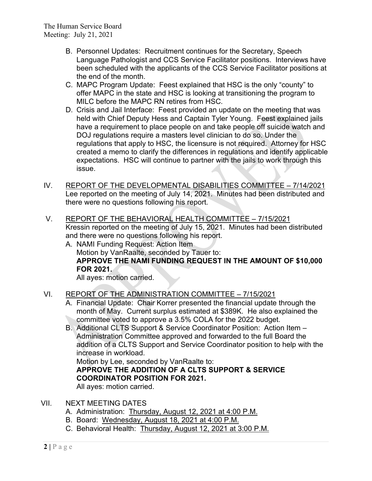- B. Personnel Updates: Recruitment continues for the Secretary, Speech Language Pathologist and CCS Service Facilitator positions. Interviews have been scheduled with the applicants of the CCS Service Facilitator positions at the end of the month.
- C. MAPC Program Update: Feest explained that HSC is the only "county" to offer MAPC in the state and HSC is looking at transitioning the program to MILC before the MAPC RN retires from HSC.
- D. Crisis and Jail Interface: Feest provided an update on the meeting that was held with Chief Deputy Hess and Captain Tyler Young. Feest explained jails have a requirement to place people on and take people off suicide watch and DOJ regulations require a masters level clinician to do so. Under the regulations that apply to HSC, the licensure is not required. Attorney for HSC created a memo to clarify the differences in regulations and identify applicable expectations. HSC will continue to partner with the jails to work through this issue.
- IV. REPORT OF THE DEVELOPMENTAL DISABILITIES COMMITTEE 7/14/2021 Lee reported on the meeting of July 14, 2021. Minutes had been distributed and there were no questions following his report.
- V. REPORT OF THE BEHAVIORAL HEALTH COMMITTEE 7/15/2021 Kressin reported on the meeting of July 15, 2021. Minutes had been distributed and there were no questions following his report.
	- A. NAMI Funding Request: Action Item Motion by VanRaalte, seconded by Tauer to: **APPROVE THE NAMI FUNDING REQUEST IN THE AMOUNT OF \$10,000 FOR 2021.**

All ayes: motion carried.

#### VI. REPORT OF THE ADMINISTRATION COMMITTEE – 7/15/2021

- A. Financial Update: Chair Korrer presented the financial update through the month of May. Current surplus estimated at \$389K. He also explained the committee voted to approve a 3.5% COLA for the 2022 budget.
- B. Additional CLTS Support & Service Coordinator Position: Action Item Administration Committee approved and forwarded to the full Board the addition of a CLTS Support and Service Coordinator position to help with the increase in workload.

Motion by Lee, seconded by VanRaalte to:

**APPROVE THE ADDITION OF A CLTS SUPPORT & SERVICE COORDINATOR POSITION FOR 2021.**

All ayes: motion carried.

- VII. NEXT MEETING DATES
	- A. Administration: Thursday, August 12, 2021 at 4:00 P.M.
	- B. Board: Wednesday, August 18, 2021 at 4:00 P.M.
	- C. Behavioral Health: Thursday, August 12, 2021 at 3:00 P.M.